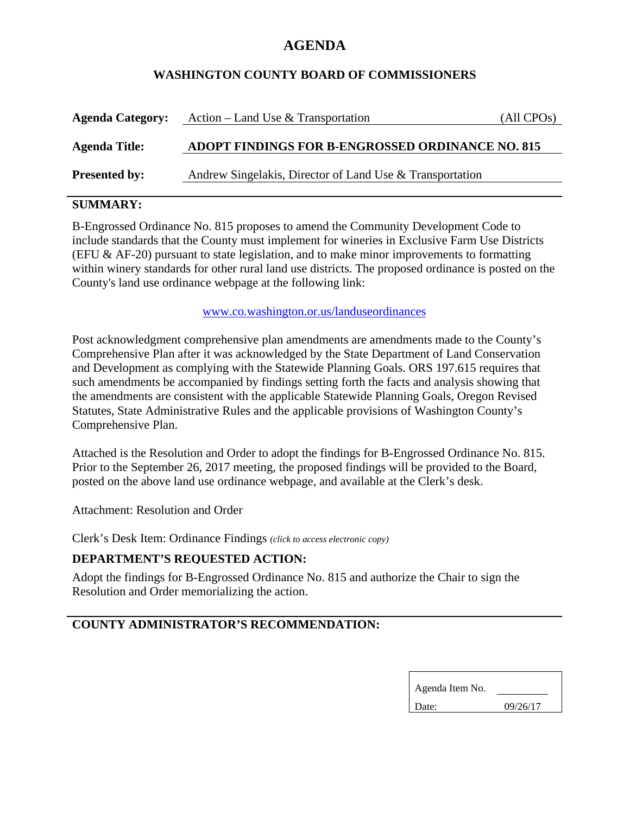## **AGENDA**

### **WASHINGTON COUNTY BOARD OF COMMISSIONERS**

| <b>Agenda Category:</b> | Action – Land Use & Transportation                       | (All CPOs) |
|-------------------------|----------------------------------------------------------|------------|
| <b>Agenda Title:</b>    | ADOPT FINDINGS FOR B-ENGROSSED ORDINANCE NO. 815         |            |
| <b>Presented by:</b>    | Andrew Singelakis, Director of Land Use & Transportation |            |

## **SUMMARY:**

B-Engrossed Ordinance No. 815 proposes to amend the Community Development Code to include standards that the County must implement for wineries in Exclusive Farm Use Districts (EFU  $\&$  AF-20) pursuant to state legislation, and to make minor improvements to formatting within winery standards for other rural land use districts. The proposed ordinance is posted on the County's land use ordinance webpage at the following link:

#### www.co.washington.or.us/landuseordinances

Post acknowledgment comprehensive plan amendments are amendments made to the County's Comprehensive Plan after it was acknowledged by the State Department of Land Conservation and Development as complying with the Statewide Planning Goals. ORS 197.615 requires that such amendments be accompanied by findings setting forth the facts and analysis showing that the amendments are consistent with the applicable Statewide Planning Goals, Oregon Revised Statutes, State Administrative Rules and the applicable provisions of Washington County's Comprehensive Plan.

Attached is the Resolution and Order to adopt the findings for B-Engrossed Ordinance No. 815. Prior to the September 26, 2017 meeting, the proposed findings will be provided to the Board, posted on the above land use ordinance webpage, and available at the Clerk's desk.

Attachment: Resolution and Order

Clerk's Desk Item: Ordinance Findings *(click to access electronic copy)*

## **DEPARTMENT'S REQUESTED ACTION:**

Adopt the findings for B-Engrossed Ordinance No. 815 and authorize the Chair to sign the Resolution and Order memorializing the action.

# **COUNTY ADMINISTRATOR'S RECOMMENDATION:**

| Agenda Item No. |          |
|-----------------|----------|
| Date:           | 09/26/17 |